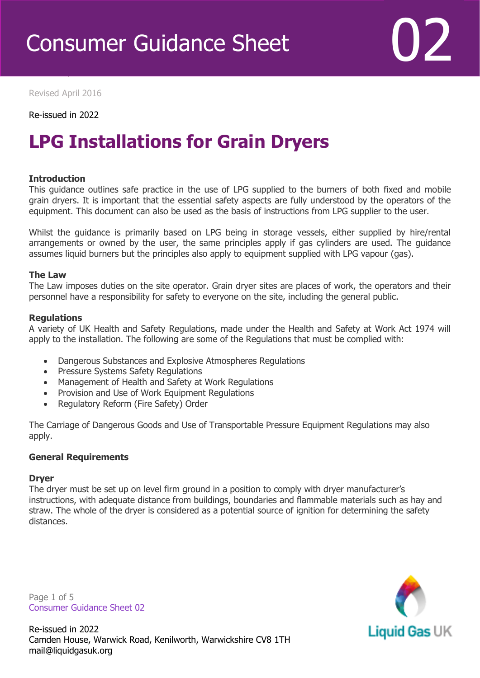

Revised April 2016

Revised April 2016

Re-issued in 2022

### **LPG Installations for Grain Dryers**

#### **Introduction**

This guidance outlines safe practice in the use of LPG supplied to the burners of both fixed and mobile grain dryers. It is important that the essential safety aspects are fully understood by the operators of the equipment. This document can also be used as the basis of instructions from LPG supplier to the user.

Whilst the guidance is primarily based on LPG being in storage vessels, either supplied by hire/rental arrangements or owned by the user, the same principles apply if gas cylinders are used. The guidance assumes liquid burners but the principles also apply to equipment supplied with LPG vapour (gas).

#### **The Law**

The Law imposes duties on the site operator. Grain dryer sites are places of work, the operators and their personnel have a responsibility for safety to everyone on the site, including the general public.

#### **Regulations**

A variety of UK Health and Safety Regulations, made under the Health and Safety at Work Act 1974 will apply to the installation. The following are some of the Regulations that must be complied with:

- Dangerous Substances and Explosive Atmospheres Regulations
- Pressure Systems Safety Regulations
- Management of Health and Safety at Work Regulations
- Provision and Use of Work Equipment Regulations
- Regulatory Reform (Fire Safety) Order

The Carriage of Dangerous Goods and Use of Transportable Pressure Equipment Regulations may also apply.

#### **General Requirements**

#### **Dryer**

The dryer must be set up on level firm ground in a position to comply with dryer manufacturer's instructions, with adequate distance from buildings, boundaries and flammable materials such as hay and straw. The whole of the dryer is considered as a potential source of ignition for determining the safety distances.

Page 1 of 5 Consumer Guidance Sheet 02

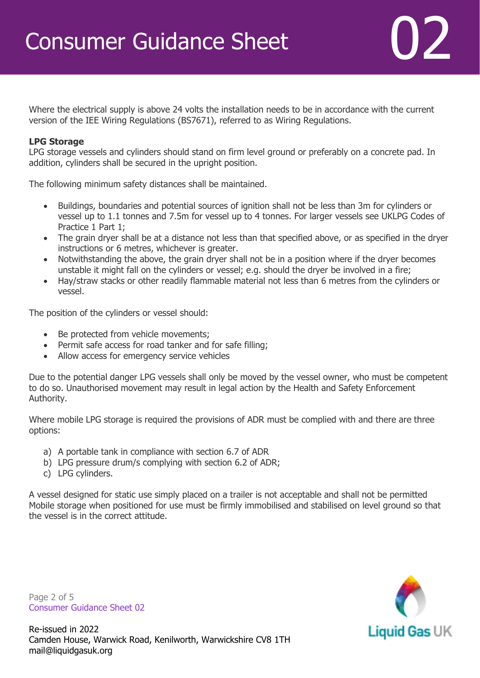Where the electrical supply is above 24 volts the installation needs to be in accordance with the current version of the IEE Wiring Regulations (BS7671), referred to as Wiring Regulations.

#### **LPG Storage**

LPG storage vessels and cylinders should stand on firm level ground or preferably on a concrete pad. In addition, cylinders shall be secured in the upright position.

The following minimum safety distances shall be maintained.

- Buildings, boundaries and potential sources of ignition shall not be less than 3m for cylinders or vessel up to 1.1 tonnes and 7.5m for vessel up to 4 tonnes. For larger vessels see UKLPG Codes of Practice 1 Part 1;
- The grain dryer shall be at a distance not less than that specified above, or as specified in the dryer instructions or 6 metres, whichever is greater.
- Notwithstanding the above, the grain dryer shall not be in a position where if the dryer becomes unstable it might fall on the cylinders or vessel; e.g. should the dryer be involved in a fire;
- Hay/straw stacks or other readily flammable material not less than 6 metres from the cylinders or vessel.

The position of the cylinders or vessel should:

- Be protected from vehicle movements;
- Permit safe access for road tanker and for safe filling;
- Allow access for emergency service vehicles

Due to the potential danger LPG vessels shall only be moved by the vessel owner, who must be competent to do so. Unauthorised movement may result in legal action by the Health and Safety Enforcement Authority.

Where mobile LPG storage is required the provisions of ADR must be complied with and there are three options:

- a) A portable tank in compliance with section 6.7 of ADR
- b) LPG pressure drum/s complying with section 6.2 of ADR;
- c) LPG cylinders.

A vessel designed for static use simply placed on a trailer is not acceptable and shall not be permitted Mobile storage when positioned for use must be firmly immobilised and stabilised on level ground so that the vessel is in the correct attitude.

Page 2 of 5 Consumer Guidance Sheet 02

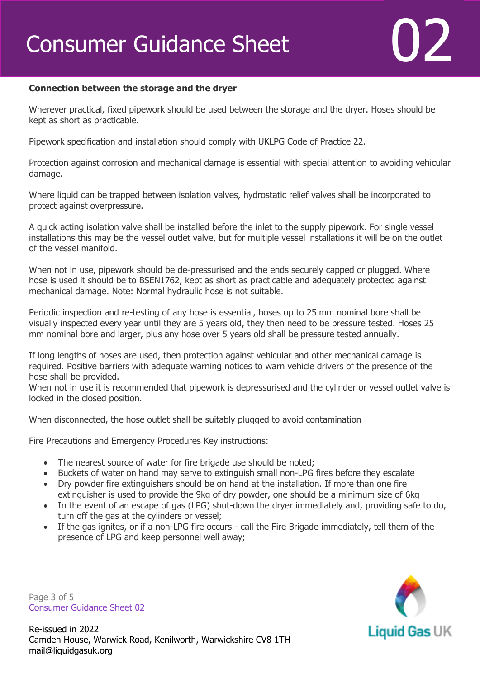#### **Connection between the storage and the dryer**

Wherever practical, fixed pipework should be used between the storage and the dryer. Hoses should be kept as short as practicable.

Pipework specification and installation should comply with UKLPG Code of Practice 22.

Protection against corrosion and mechanical damage is essential with special attention to avoiding vehicular damage.

Where liquid can be trapped between isolation valves, hydrostatic relief valves shall be incorporated to protect against overpressure.

A quick acting isolation valve shall be installed before the inlet to the supply pipework. For single vessel installations this may be the vessel outlet valve, but for multiple vessel installations it will be on the outlet of the vessel manifold.

When not in use, pipework should be de-pressurised and the ends securely capped or plugged. Where hose is used it should be to BSEN1762, kept as short as practicable and adequately protected against mechanical damage. Note: Normal hydraulic hose is not suitable.

Periodic inspection and re-testing of any hose is essential, hoses up to 25 mm nominal bore shall be visually inspected every year until they are 5 years old, they then need to be pressure tested. Hoses 25 mm nominal bore and larger, plus any hose over 5 years old shall be pressure tested annually.

If long lengths of hoses are used, then protection against vehicular and other mechanical damage is required. Positive barriers with adequate warning notices to warn vehicle drivers of the presence of the hose shall be provided.

When not in use it is recommended that pipework is depressurised and the cylinder or vessel outlet valve is locked in the closed position.

When disconnected, the hose outlet shall be suitably plugged to avoid contamination

Fire Precautions and Emergency Procedures Key instructions:

- The nearest source of water for fire brigade use should be noted;
- Buckets of water on hand may serve to extinguish small non-LPG fires before they escalate
- Dry powder fire extinguishers should be on hand at the installation. If more than one fire extinguisher is used to provide the 9kg of dry powder, one should be a minimum size of 6kg
- In the event of an escape of gas (LPG) shut-down the dryer immediately and, providing safe to do, turn off the gas at the cylinders or vessel;
- If the gas ignites, or if a non-LPG fire occurs call the Fire Brigade immediately, tell them of the presence of LPG and keep personnel well away;

Page 3 of 5 Consumer Guidance Sheet 02

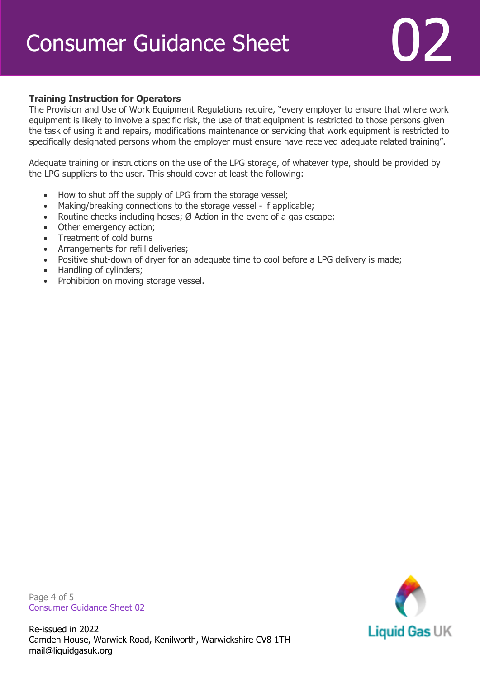# Consumer Guidance Sheet **1999**



#### **Training Instruction for Operators**

The Provision and Use of Work Equipment Regulations require, "every employer to ensure that where work equipment is likely to involve a specific risk, the use of that equipment is restricted to those persons given the task of using it and repairs, modifications maintenance or servicing that work equipment is restricted to specifically designated persons whom the employer must ensure have received adequate related training".

Adequate training or instructions on the use of the LPG storage, of whatever type, should be provided by the LPG suppliers to the user. This should cover at least the following:

- How to shut off the supply of LPG from the storage vessel;
- Making/breaking connections to the storage vessel if applicable;
- Routine checks including hoses;  $\emptyset$  Action in the event of a gas escape;
- Other emergency action;
- Treatment of cold burns
- Arrangements for refill deliveries;
- Positive shut-down of dryer for an adequate time to cool before a LPG delivery is made;
- Handling of cylinders;
- Prohibition on moving storage vessel.

Page 4 of 5 Consumer Guidance Sheet 02